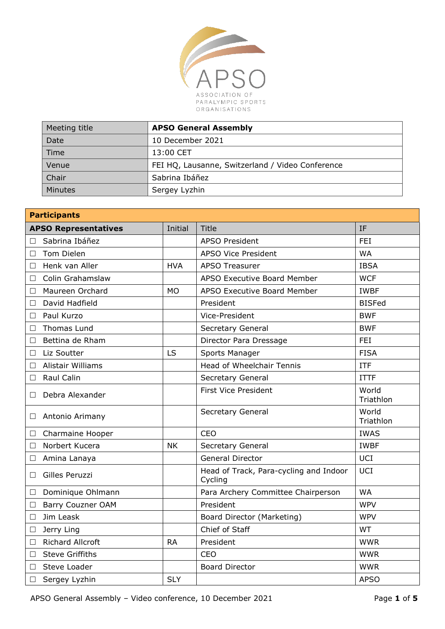

| Meeting title  | <b>APSO General Assembly</b>                     |
|----------------|--------------------------------------------------|
| Date           | 10 December 2021                                 |
| Time           | 13:00 CET                                        |
| Venue          | FEI HQ, Lausanne, Switzerland / Video Conference |
| Chair          | Sabrina Ibáñez                                   |
| <b>Minutes</b> | Sergey Lyzhin                                    |

| <b>Participants</b>                |            |                                                   |                    |
|------------------------------------|------------|---------------------------------------------------|--------------------|
| <b>APSO Representatives</b>        | Initial    | <b>Title</b>                                      | IF                 |
| Sabrina Ibáñez<br>П                |            | <b>APSO President</b>                             | <b>FEI</b>         |
| <b>Tom Dielen</b><br>$\Box$        |            | <b>APSO Vice President</b>                        | <b>WA</b>          |
| Henk van Aller<br>$\Box$           | <b>HVA</b> | <b>APSO Treasurer</b>                             | <b>IBSA</b>        |
| Colin Grahamslaw<br>$\Box$         |            | <b>APSO Executive Board Member</b>                | <b>WCF</b>         |
| Maureen Orchard<br>$\Box$          | <b>MO</b>  | APSO Executive Board Member                       | <b>IWBF</b>        |
| David Hadfield<br>□                |            | President                                         | <b>BISFed</b>      |
| Paul Kurzo<br>П                    |            | Vice-President                                    | <b>BWF</b>         |
| Thomas Lund<br>$\Box$              |            | Secretary General                                 | <b>BWF</b>         |
| Bettina de Rham<br>$\Box$          |            | Director Para Dressage                            | <b>FEI</b>         |
| Liz Soutter<br>$\Box$              | <b>LS</b>  | Sports Manager                                    | <b>FISA</b>        |
| <b>Alistair Williams</b><br>$\Box$ |            | Head of Wheelchair Tennis                         | <b>ITF</b>         |
| Raul Calin<br>$\Box$               |            | Secretary General                                 | <b>ITTF</b>        |
| Debra Alexander<br>□               |            | <b>First Vice President</b>                       | World<br>Triathlon |
| Antonio Arimany<br>$\Box$          |            | Secretary General                                 | World<br>Triathlon |
| <b>Charmaine Hooper</b><br>$\Box$  |            | <b>CEO</b>                                        | <b>IWAS</b>        |
| Norbert Kucera<br>□                | <b>NK</b>  | Secretary General                                 | <b>IWBF</b>        |
| Amina Lanaya<br>$\Box$             |            | <b>General Director</b>                           | <b>UCI</b>         |
| Gilles Peruzzi<br>$\Box$           |            | Head of Track, Para-cycling and Indoor<br>Cycling | <b>UCI</b>         |
| Dominique Ohlmann<br>□             |            | Para Archery Committee Chairperson                | <b>WA</b>          |
| <b>Barry Couzner OAM</b><br>$\Box$ |            | President                                         | <b>WPV</b>         |
| Jim Leask<br>$\Box$                |            | Board Director (Marketing)                        | <b>WPV</b>         |
| Jerry Ling<br>$\Box$               |            | Chief of Staff                                    | <b>WT</b>          |
| <b>Richard Allcroft</b><br>$\Box$  | <b>RA</b>  | President                                         | <b>WWR</b>         |
| <b>Steve Griffiths</b><br>$\Box$   |            | <b>CEO</b>                                        | <b>WWR</b>         |
| Steve Loader<br>$\Box$             |            | <b>Board Director</b>                             | <b>WWR</b>         |
| Sergey Lyzhin<br>$\Box$            | <b>SLY</b> |                                                   | <b>APSO</b>        |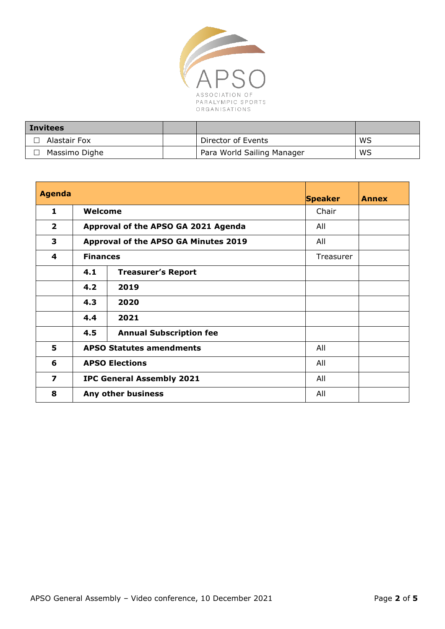

| <b>Invitees</b> |                            |    |
|-----------------|----------------------------|----|
| Alastair Fox    | Director of Events         | WS |
| Massimo Dighe   | Para World Sailing Manager | WS |

| <b>Agenda</b>           |                                         |                                      | <b>Speaker</b> | <b>Annex</b> |
|-------------------------|-----------------------------------------|--------------------------------------|----------------|--------------|
| 1                       | Welcome                                 |                                      | Chair          |              |
| $\overline{2}$          |                                         | Approval of the APSO GA 2021 Agenda  | All            |              |
| 3                       |                                         | Approval of the APSO GA Minutes 2019 | All            |              |
| 4                       | <b>Finances</b>                         |                                      | Treasurer      |              |
|                         | 4.1                                     | <b>Treasurer's Report</b>            |                |              |
|                         | 4.2                                     | 2019                                 |                |              |
|                         | 4.3                                     | 2020                                 |                |              |
|                         | 4.4                                     | 2021                                 |                |              |
|                         | 4.5                                     | <b>Annual Subscription fee</b>       |                |              |
| 5                       |                                         | <b>APSO Statutes amendments</b>      | All            |              |
| 6                       |                                         | <b>APSO Elections</b>                | All            |              |
| $\overline{\mathbf{z}}$ | <b>IPC General Assembly 2021</b><br>All |                                      |                |              |
| 8                       |                                         | Any other business                   | All            |              |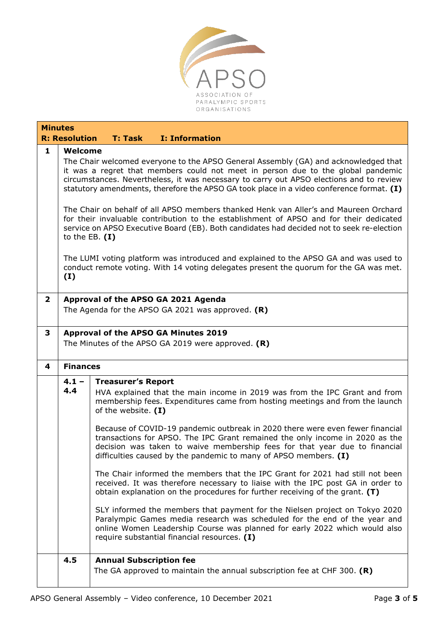

| <b>Minutes</b> |                                                                                                                                                                                                                                                                                                                                                                                                                                                                                                                                                                                                                                                                                                                                                                                                                                                                       |                                                                                                                                                                                                                                                                                                                                                                                                                                                                                                                                                                                                                                                                                                                                                                                                                                                                                                                                                                                                                                                                                   |  |  |
|----------------|-----------------------------------------------------------------------------------------------------------------------------------------------------------------------------------------------------------------------------------------------------------------------------------------------------------------------------------------------------------------------------------------------------------------------------------------------------------------------------------------------------------------------------------------------------------------------------------------------------------------------------------------------------------------------------------------------------------------------------------------------------------------------------------------------------------------------------------------------------------------------|-----------------------------------------------------------------------------------------------------------------------------------------------------------------------------------------------------------------------------------------------------------------------------------------------------------------------------------------------------------------------------------------------------------------------------------------------------------------------------------------------------------------------------------------------------------------------------------------------------------------------------------------------------------------------------------------------------------------------------------------------------------------------------------------------------------------------------------------------------------------------------------------------------------------------------------------------------------------------------------------------------------------------------------------------------------------------------------|--|--|
|                | <b>R: Resolution</b>                                                                                                                                                                                                                                                                                                                                                                                                                                                                                                                                                                                                                                                                                                                                                                                                                                                  | <b>I: Information</b><br><b>T: Task</b>                                                                                                                                                                                                                                                                                                                                                                                                                                                                                                                                                                                                                                                                                                                                                                                                                                                                                                                                                                                                                                           |  |  |
| 1              | Welcome<br>The Chair welcomed everyone to the APSO General Assembly (GA) and acknowledged that<br>it was a regret that members could not meet in person due to the global pandemic<br>circumstances. Nevertheless, it was necessary to carry out APSO elections and to review<br>statutory amendments, therefore the APSO GA took place in a video conference format. (I)<br>The Chair on behalf of all APSO members thanked Henk van Aller's and Maureen Orchard<br>for their invaluable contribution to the establishment of APSO and for their dedicated<br>service on APSO Executive Board (EB). Both candidates had decided not to seek re-election<br>to the EB. $(I)$<br>The LUMI voting platform was introduced and explained to the APSO GA and was used to<br>conduct remote voting. With 14 voting delegates present the quorum for the GA was met.<br>(I) |                                                                                                                                                                                                                                                                                                                                                                                                                                                                                                                                                                                                                                                                                                                                                                                                                                                                                                                                                                                                                                                                                   |  |  |
| $\mathbf{2}$   | Approval of the APSO GA 2021 Agenda<br>The Agenda for the APSO GA 2021 was approved. $(R)$                                                                                                                                                                                                                                                                                                                                                                                                                                                                                                                                                                                                                                                                                                                                                                            |                                                                                                                                                                                                                                                                                                                                                                                                                                                                                                                                                                                                                                                                                                                                                                                                                                                                                                                                                                                                                                                                                   |  |  |
| 3              | Approval of the APSO GA Minutes 2019<br>The Minutes of the APSO GA 2019 were approved. $(R)$                                                                                                                                                                                                                                                                                                                                                                                                                                                                                                                                                                                                                                                                                                                                                                          |                                                                                                                                                                                                                                                                                                                                                                                                                                                                                                                                                                                                                                                                                                                                                                                                                                                                                                                                                                                                                                                                                   |  |  |
| 4              | <b>Finances</b>                                                                                                                                                                                                                                                                                                                                                                                                                                                                                                                                                                                                                                                                                                                                                                                                                                                       |                                                                                                                                                                                                                                                                                                                                                                                                                                                                                                                                                                                                                                                                                                                                                                                                                                                                                                                                                                                                                                                                                   |  |  |
|                | $4.1 -$<br>4.4                                                                                                                                                                                                                                                                                                                                                                                                                                                                                                                                                                                                                                                                                                                                                                                                                                                        | <b>Treasurer's Report</b><br>HVA explained that the main income in 2019 was from the IPC Grant and from<br>membership fees. Expenditures came from hosting meetings and from the launch<br>of the website. (I)<br>Because of COVID-19 pandemic outbreak in 2020 there were even fewer financial<br>transactions for APSO. The IPC Grant remained the only income in 2020 as the<br>decision was taken to waive membership fees for that year due to financial<br>difficulties caused by the pandemic to many of APSO members. $(I)$<br>The Chair informed the members that the IPC Grant for 2021 had still not been<br>received. It was therefore necessary to liaise with the IPC post GA in order to<br>obtain explanation on the procedures for further receiving of the grant. (T)<br>SLY informed the members that payment for the Nielsen project on Tokyo 2020<br>Paralympic Games media research was scheduled for the end of the year and<br>online Women Leadership Course was planned for early 2022 which would also<br>require substantial financial resources. (I) |  |  |
|                | 4.5                                                                                                                                                                                                                                                                                                                                                                                                                                                                                                                                                                                                                                                                                                                                                                                                                                                                   | <b>Annual Subscription fee</b><br>The GA approved to maintain the annual subscription fee at CHF 300. $(R)$                                                                                                                                                                                                                                                                                                                                                                                                                                                                                                                                                                                                                                                                                                                                                                                                                                                                                                                                                                       |  |  |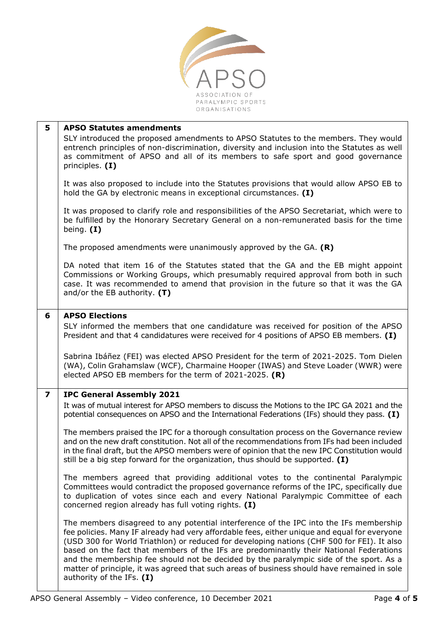

| 5                       | <b>APSO Statutes amendments</b>                                                                                                                                                                                                                                                                                                                                                                                                                                                                                                                                                                      |
|-------------------------|------------------------------------------------------------------------------------------------------------------------------------------------------------------------------------------------------------------------------------------------------------------------------------------------------------------------------------------------------------------------------------------------------------------------------------------------------------------------------------------------------------------------------------------------------------------------------------------------------|
|                         | SLY introduced the proposed amendments to APSO Statutes to the members. They would<br>entrench principles of non-discrimination, diversity and inclusion into the Statutes as well<br>as commitment of APSO and all of its members to safe sport and good governance<br>principles. (I)                                                                                                                                                                                                                                                                                                              |
|                         | It was also proposed to include into the Statutes provisions that would allow APSO EB to<br>hold the GA by electronic means in exceptional circumstances. (I)                                                                                                                                                                                                                                                                                                                                                                                                                                        |
|                         | It was proposed to clarify role and responsibilities of the APSO Secretariat, which were to<br>be fulfilled by the Honorary Secretary General on a non-remunerated basis for the time<br>being. $(I)$                                                                                                                                                                                                                                                                                                                                                                                                |
|                         | The proposed amendments were unanimously approved by the GA. $(R)$                                                                                                                                                                                                                                                                                                                                                                                                                                                                                                                                   |
|                         | DA noted that item 16 of the Statutes stated that the GA and the EB might appoint<br>Commissions or Working Groups, which presumably required approval from both in such<br>case. It was recommended to amend that provision in the future so that it was the GA<br>and/or the EB authority. $(T)$                                                                                                                                                                                                                                                                                                   |
| 6                       | <b>APSO Elections</b>                                                                                                                                                                                                                                                                                                                                                                                                                                                                                                                                                                                |
|                         | SLY informed the members that one candidature was received for position of the APSO<br>President and that 4 candidatures were received for 4 positions of APSO EB members. (I)                                                                                                                                                                                                                                                                                                                                                                                                                       |
|                         | Sabrina Ibáñez (FEI) was elected APSO President for the term of 2021-2025. Tom Dielen<br>(WA), Colin Grahamslaw (WCF), Charmaine Hooper (IWAS) and Steve Loader (WWR) were<br>elected APSO EB members for the term of 2021-2025. $(R)$                                                                                                                                                                                                                                                                                                                                                               |
| $\overline{\mathbf{z}}$ | <b>IPC General Assembly 2021</b>                                                                                                                                                                                                                                                                                                                                                                                                                                                                                                                                                                     |
|                         | It was of mutual interest for APSO members to discuss the Motions to the IPC GA 2021 and the<br>potential consequences on APSO and the International Federations (IFs) should they pass. (I)                                                                                                                                                                                                                                                                                                                                                                                                         |
|                         | The members praised the IPC for a thorough consultation process on the Governance review<br>and on the new draft constitution. Not all of the recommendations from IFs had been included<br>in the final draft, but the APSO members were of opinion that the new IPC Constitution would<br>still be a big step forward for the organization, thus should be supported. $(I)$                                                                                                                                                                                                                        |
|                         | The members agreed that providing additional votes to the continental Paralympic<br>Committees would contradict the proposed governance reforms of the IPC, specifically due<br>to duplication of votes since each and every National Paralympic Committee of each<br>concerned region already has full voting rights. (I)                                                                                                                                                                                                                                                                           |
|                         | The members disagreed to any potential interference of the IPC into the IFs membership<br>fee policies. Many IF already had very affordable fees, either unique and equal for everyone<br>(USD 300 for World Triathlon) or reduced for developing nations (CHF 500 for FEI). It also<br>based on the fact that members of the IFs are predominantly their National Federations<br>and the membership fee should not be decided by the paralympic side of the sport. As a<br>matter of principle, it was agreed that such areas of business should have remained in sole<br>authority of the IFs. (I) |